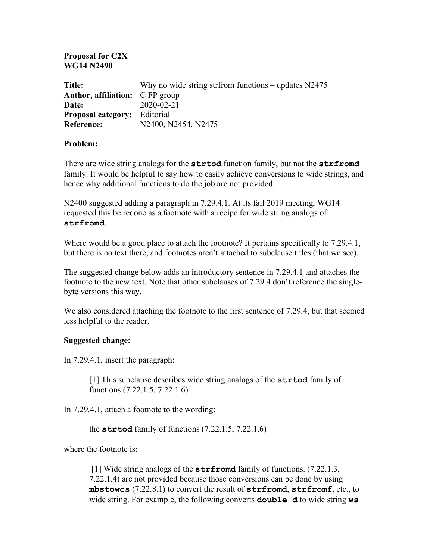## **Proposal for C2X WG14 N2490**

| <b>Title:</b>                          | Why no wide string strfrom functions – updates $N2475$ |
|----------------------------------------|--------------------------------------------------------|
| <b>Author, affiliation:</b> C FP group |                                                        |
| Date:                                  | $2020 - 02 - 21$                                       |
| <b>Proposal category:</b> Editorial    |                                                        |
| <b>Reference:</b>                      | N2400, N2454, N2475                                    |

## **Problem:**

There are wide string analogs for the **strtod** function family, but not the **strfromd** family. It would be helpful to say how to easily achieve conversions to wide strings, and hence why additional functions to do the job are not provided.

N2400 suggested adding a paragraph in 7.29.4.1. At its fall 2019 meeting, WG14 requested this be redone as a footnote with a recipe for wide string analogs of **strfromd**.

Where would be a good place to attach the footnote? It pertains specifically to 7.29.4.1, but there is no text there, and footnotes aren't attached to subclause titles (that we see).

The suggested change below adds an introductory sentence in 7.29.4.1 and attaches the footnote to the new text. Note that other subclauses of 7.29.4 don't reference the singlebyte versions this way.

We also considered attaching the footnote to the first sentence of 7.29.4, but that seemed less helpful to the reader.

## **Suggested change:**

In 7.29.4.1, insert the paragraph:

[1] This subclause describes wide string analogs of the **strtod** family of functions (7.22.1.5, 7.22.1.6).

In 7.29.4.1, attach a footnote to the wording:

the **strtod** family of functions (7.22.1.5, 7.22.1.6)

where the footnote is:

[1] Wide string analogs of the **strfromd** family of functions. (7.22.1.3, 7.22.1.4) are not provided because those conversions can be done by using **mbstowcs** (7.22.8.1) to convert the result of **strfromd**, **strfromf**, etc., to wide string. For example, the following converts **double d** to wide string **ws**